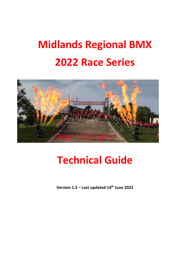# **Midlands Regional BMX 2022 Race Series**



## **Technical Guide**

**Version 1.2 – Last updated 14th June 2022**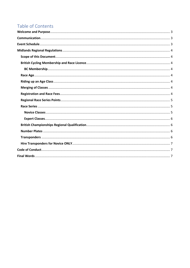## Table of Contents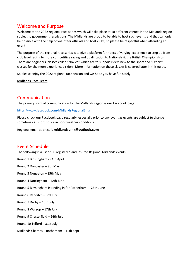## <span id="page-2-0"></span>Welcome and Purpose

Welcome to the 2022 regional race series which will take place at 10 different venues in the Midlands region subject to government restrictions. The Midlands are proud to be able to host such events and that can only be possible with the help of volunteer officials and host clubs, so please be respectful when attending an event.

The purpose of the regional race series is to give a platform for riders of varying experience to step up from club level racing to more competitive racing and qualification to Nationals & the British Championships. There are beginners' classes called "Novice" which are to support riders new to the sport and "Expert" classes for the more experienced riders. More information on these classes is covered later in this guide.

So please enjoy the 2022 regional race season and we hope you have fun safely.

**Midlands Race Team**

## <span id="page-2-1"></span>Communication

The primary form of communication for the Midlands region is our Facebook page:

<https://www.facebook.com/MidlandsRegionalBmx>

Please check our Facebook page regularly, especially prior to any event as events are subject to change sometimes at short notice in poor weather conditions.

Regional email address is **midlandsbmx@outlook.com**

## <span id="page-2-2"></span>Event Schedule

The following is a list of BC registered and insured Regional Midlands events:

Round 1 Birmingham - 24th April Round 2 Doncaster – 8th May Round 3 Nuneaton – 15th May Round 4 Nottingham – 12th June Round 5 Birmingham (standing in for Rotherham) – 26th June Round 6 Redditch – 3rd July Round 7 Derby – 10th July Round 8 Warsop – 17th July Round 9 Chesterfield – 24th July Round 10 Telford – 31st July Midlands Champs – Rotherham – 11th Sept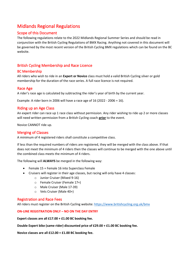## <span id="page-3-0"></span>Midlands Regional Regulations

#### <span id="page-3-1"></span>Scope of this Document

The following regulations relate to the 2022 Midlands Regional Summer Series and should be read in conjunction with the British Cycling Regulations of BMX Racing. Anything not covered in this document will be governed by the most recent version of the British Cycling BMX regulations which can be found on the BC website.

#### <span id="page-3-2"></span>British Cycling Membership and Race Licence

#### <span id="page-3-3"></span>BC Membership

All riders who wish to ride in an **Expert or Novice** class must hold a valid British Cycling silver or gold membership for the duration of the race series. A full race licence is not required.

#### <span id="page-3-4"></span>Race Age

A rider's race age is calculated by subtracting the rider's year of birth by the current year.

Example: A rider born in 2006 will have a race age of 16 (2022 - 2006 = 16).

#### <span id="page-3-5"></span>Riding up an Age Class

An expert rider can race up 1 race class without permission. Any rider wishing to ride up 2 or more classes will need written permission from a British Cycling coach **prior** to the event.

Novice CANNOT ride up.

#### <span id="page-3-6"></span>Merging of Classes

A minimum of 4 registered riders shall constitute a competitive class.

If less than the required numbers of riders are registered, they will be merged with the class above. If that does not meet the minimum of 4 riders then the classes will continue to be merged with the one above until the combined class meets the minimum of 4 riders.

The following will **ALWAYS** be merged in the following way:

- Female 15 + Female 16 into Superclass Female
- Cruisers will register in their age classes, but racing will only have 4 classes:
	- o Junior Cruiser (Mixed 9-16)
	- o Female Cruiser (Female 17+)
	- o Male Cruiser (Male 17-39)
	- o Vets Cruiser (Male 40+)

#### <span id="page-3-7"></span>Registration and Race Fees

All riders must register on the British Cycling website:<https://www.britishcycling.org.uk/bmx>

#### **ON-LINE REGISTRATION ONLY – NO ON THE DAY ENTRY**

**Expert classes are all £17.00 + £1.00 BC booking fee.**

**Double Expert bike (same rider) discounted price of £29.00 + £1.00 BC booking fee.**

**Novice classes are all £12.00 + £1.00 BC booking fee.**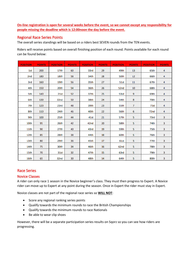**On-line registration is open for several weeks before the event, so we cannot except any responsibility for people missing the deadline which is 12:00noon the day before the event.**

#### <span id="page-4-0"></span>Regional Race Series Points

The overall series standings will be based on a riders best SEVEN rounds from the TEN events.

Riders will receive points based on overall finishing position of each round. Points available for each round can be found below:

| <b>POSITION</b> | <b>POINTS</b> | <b>POSITION</b> | <b>POINTS</b> | <b>POSITION</b> | <b>POINTS</b> | <b>POSITION</b>  | <b>POINTS</b>  | <b>POSITION</b> | <b>POINTS</b> |  |
|-----------------|---------------|-----------------|---------------|-----------------|---------------|------------------|----------------|-----------------|---------------|--|
| 1st             | 200           | 17th            | 60            | 33rd            | 29            | 49th             | 13             | 65th            | 4             |  |
| 2 <sub>nd</sub> | 180           | 18th            | 58            | 34th            | 28            | 50th             | 12             | 66th            | 4             |  |
| 3rd             | 160           | 19th            | 56            | 35th            | 27            | 51st             | 11             | 67th            | 4             |  |
| 4th             | 150           | 20th            | 54            | 36th            | 26            | 52nd             | 10             | 68th            | 4             |  |
| 5th             | 140           | 21st            | 52            | 37th            | 25            | 53rd             | 9              | 69th            | 4             |  |
| 6th             | 130           | 22nd            | 50            | 38th            | 24            | 54th             | 8              | 70th            | 4             |  |
| 7th             | 120           | 23rd            | 48            | 39th            | 23            | 55th             | $\overline{7}$ | 71st            |               |  |
| 8th             | 110           | 24th            | 46            | 40th            | 22            | 56th             | 6              | 72nd            | 4             |  |
| 9th             | 100           | 25th            | 44            | 41st            | 21            | 57th             | 5              | 73rd            | 3             |  |
| 10th            | 95            | 26th            | 42            | 42nd            | 20            | 58th             | 5              | 74th            | 3             |  |
| 11th            | 90            | 27th            | 40            | 43rd            | 19            | 59th             | 5              | 75th            | 3             |  |
| 12th            | 85            | 28th            | 38            | 44th            | 18            | 60th             | 5              | 76th            | 3             |  |
| 13th            | 80            | 29th            | 36            | 45th            | 17            | 61st             | 5              | 77th            | 3             |  |
| 14th            | 75            | 30th            | 34            | 46th            | 16            | 62 <sub>nd</sub> | 5              | 78th            | 3             |  |
| 15th            | 70            | 31st            | 32            | 47th            | 15            | 63rd             | 5              | 79th            | 3             |  |
| 16th            | 65            | 32nd            | 30            | 48th            | 14            | 64th             | 5              | 80th            | 3             |  |

#### <span id="page-4-1"></span>Race Series

#### <span id="page-4-2"></span>Novice Classes

A rider can only race 1 season in the Novice beginner's class. They must then progress to Expert. A Novice rider can move up to Expert at any point during the season. Once in Expert the rider must stay in Expert.

Novice classes are not part of the regional race series so **WILL NOT**:

- Score any regional ranking series points
- Qualify towards the minimum rounds to race the British Championships
- Qualify towards the minimum rounds to race Nationals
- Be able to wear clip shoes

However, there will be a separate participation series results on Sqorz so you can see how riders are progressing.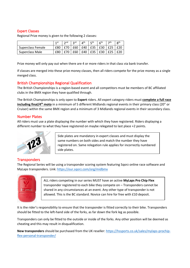#### <span id="page-5-0"></span>Expert Classes

Regional Prize money is given to the following 2 classes:

|                   | - 1 st | $\mathsf{C}$ nd | ord | $\Lambda^{\text{th}}$ | π, τh | 6 <sup>th</sup> | - 7th | 8 <sup>th</sup> |
|-------------------|--------|-----------------|-----|-----------------------|-------|-----------------|-------|-----------------|
| Superclass Female |        | £70             | £60 | £40                   | £35   | £30             |       |                 |
| Superclass Male   |        |                 | £60 | £40                   |       | £30             |       |                 |

Prize money will only pay out when there are 4 or more riders in that class via bank transfer.

If classes are merged into these prize money classes, then all riders compete for the prize money as a single merged class.

#### <span id="page-5-1"></span>British Championships Regional Qualification

The British Championships is a region-based event and all competitors must be members of BC affiliated clubs in the BMX region they have qualified through.

The British Championships is only open to **Expert** riders. All expert category riders must **complete a full race including final/4th moto** in a minimum of 5 different Midlands regional events in their primary class (20" or Cruiser) within the same BMX region and a minimum of 3 Midlands regional events in their secondary class.

#### <span id="page-5-2"></span>Number Plates

All riders must use a plate displaying the number with which they have registered. Riders displaying a different number to what they have registered on maybe relegated to last place +2 points.



Side plates are mandatory in expert classes and must display the same numbers on both sides and match the number they have registered on. Same relegation rule applies for incorrectly numbered side plates.

#### <span id="page-5-3"></span>**Transponders**

The Regional Series will be using a transponder scoring system featuring Sqorz online race software and MyLaps transponders. Link:<https://our.sqorz.com/org/midbmx>



ALL riders competing in our series MUST have an active **MyLaps Pro Chip Flex** transponder registered to each bike they compete on – Transponders cannot be shared in any circumstances at an event. Any other type of transponder is not allowed. This is the BC standard. Novice can hire for free with £10 deposit.

It is the rider's responsibility to ensure that the transponder is fitted correctly to their bike. Transponders should be fitted to the left-hand side of the forks, as far down the fork leg as possible.

Transponders can only be fitted to the outside or inside of the forks. Any other position will be deemed as cheating and this may result in disqualification.

**New transponders** should be purchased from the UK reseller: [https://hssports.co.uk/sales/mylaps-prochip](https://hssports.co.uk/sales/mylaps-prochip-flex-personal-transponder/)[flex-personal-transponder/](https://hssports.co.uk/sales/mylaps-prochip-flex-personal-transponder/)